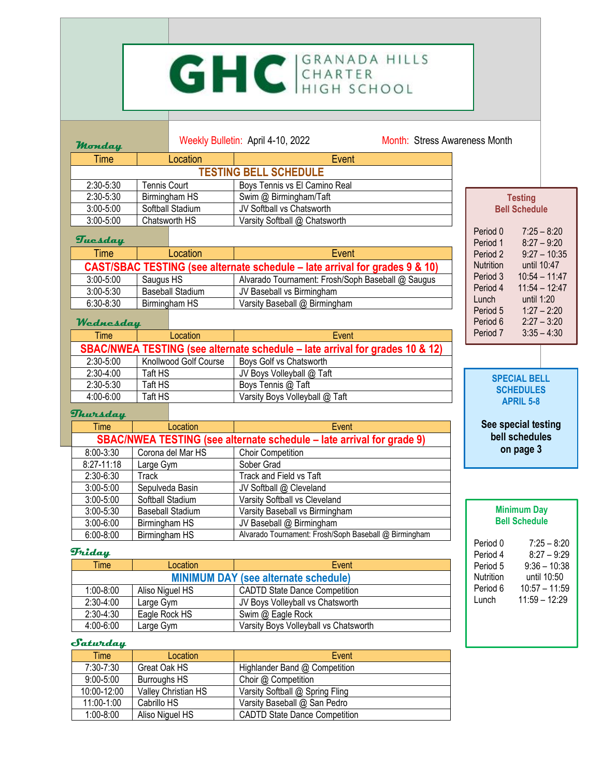### GHC GRANADA HILLS **Monday** Weekly Bulletin: April 4-10, 2022 Month: Stress Awareness Month Time | Location | Event **TESTING BELL SCHEDULE** 2:30-5:30 | Tennis Court | Boys Tennis vs El Camino Real 2:30-5:30 Birmingham HS Swim @ Birmingham/Taft **Testing** 3:00-5:00 Softball Stadium JV Softball vs Chatsworth **Bell Schedule** 3:00-5:00 Chatsworth HS Varsity Softball @ Chatsworth Period 0 7:25 – 8:20<br>Period 1 8:27 – 9:20 **Tuesday**  $8:27 - 9:20$ Time I Location I Event Period 2 9:27 – 10:35 Nutrition until 10:47 **CAST/SBAC TESTING (see alternate schedule – late arrival for grades 9 & 10)** Period 3 10:54 – 11:47 3:00-5:00 Saugus HS Alvarado Tournament: Frosh/Soph Baseball @ Saugus Period 4 11:54 – 12:47 3:00-5:30 Baseball Stadium JV Baseball vs Birmingham Lunch until 1:20 6:30-8:30 Birmingham HS Varsity Baseball @ Birmingham Period 5 1:27 – 2:20 Period 6 2:27 – 3:20 **Wednesday** Period 7 3:35 – 4:30 Time | Location | Event **SBAC/NWEA TESTING (see alternate schedule – late arrival for grades 10 & 12)** 2:30-5:00 | Knollwood Golf Course | Boys Golf vs Chatsworth 2:30-4:00 Taft HS JV Boys Volleyball @ Taft<br>2:30-5:30 Taft HS Boys Tennis @ Taft **SPECIAL BELL**  Taft HS Boys Tennis @ Taft **SCHEDULES** 4:00-6:00 Taft HS Varsity Boys Volleyball @ Taft **APRIL 5-8 Thursday See special testing** Time Location **Event**

**Minimum Day Bell Schedule**

**bell schedules on page 3**

Period 0 7:25 – 8:20 Period 4 8:27 – 9:29 Period 5 9:36 – 10:38 Nutrition until 10:50 Period 6 10:57 - 11:59 Lunch 11:59 – 12:29

|                                                            | SBAC/NWEA TESTING (see alternate schedule – late arrival for grade 9) |                         |                                                       |  |  |  |
|------------------------------------------------------------|-----------------------------------------------------------------------|-------------------------|-------------------------------------------------------|--|--|--|
| 8:00-3:30<br>Corona del Mar HS<br><b>Choir Competition</b> |                                                                       |                         |                                                       |  |  |  |
|                                                            | $8:27-11:18$                                                          | Large Gym               | Sober Grad                                            |  |  |  |
| 2:30-6:30<br>Track                                         |                                                                       |                         | Track and Field vs Taft                               |  |  |  |
|                                                            | $3:00 - 5:00$                                                         | Sepulveda Basin         | JV Softball @ Cleveland                               |  |  |  |
|                                                            | $3:00 - 5:00$                                                         | Softball Stadium        | Varsity Softball vs Cleveland                         |  |  |  |
|                                                            | $3:00 - 5:30$                                                         | <b>Baseball Stadium</b> | Varsity Baseball vs Birmingham                        |  |  |  |
|                                                            | $3:00 - 6:00$                                                         | Birmingham HS           | JV Baseball @ Birmingham                              |  |  |  |
| $6:00 - 8:00$<br>Birmingham HS                             |                                                                       |                         | Alvarado Tournament: Frosh/Soph Baseball @ Birmingham |  |  |  |

### **Friday**

| Time                                                            | Location        | Event                                |  |  |  |
|-----------------------------------------------------------------|-----------------|--------------------------------------|--|--|--|
| <b>MINIMUM DAY (see alternate schedule)</b>                     |                 |                                      |  |  |  |
| $1:00 - 8:00$                                                   | Aliso Niguel HS | <b>CADTD State Dance Competition</b> |  |  |  |
| $2:30-4:00$                                                     | Large Gym       | JV Boys Volleyball vs Chatsworth     |  |  |  |
| $2:30-4:30$                                                     | Eagle Rock HS   | Swim @ Eagle Rock                    |  |  |  |
| 4:00-6:00<br>Large Gym<br>Varsity Boys Volleyball vs Chatsworth |                 |                                      |  |  |  |

## **Saturday**

| Time          | Location            | Event                                |
|---------------|---------------------|--------------------------------------|
| 7:30-7:30     | Great Oak HS        | Highlander Band @ Competition        |
| $9:00 - 5:00$ | Burroughs HS        | Choir @ Competition                  |
| 10:00-12:00   | Valley Christian HS | Varsity Softball @ Spring Fling      |
| 11:00-1:00    | Cabrillo HS         | Varsity Baseball @ San Pedro         |
| $1:00 - 8:00$ | Aliso Niguel HS     | <b>CADTD State Dance Competition</b> |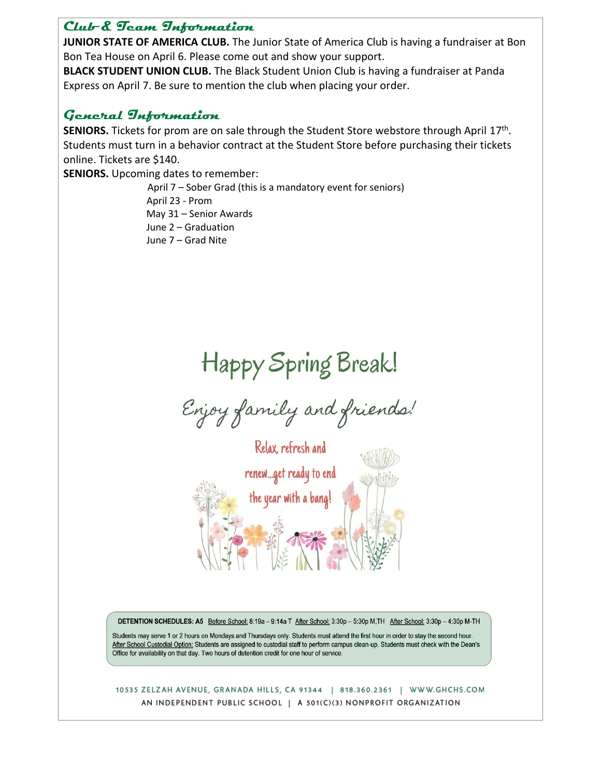## **Club & Team Information**

**JUNIOR STATE OF AMERICA CLUB.** The Junior State of America Club is having a fundraiser at Bon Bon Tea House on April 6. Please come out and show your support.

**BLACK STUDENT UNION CLUB.** The Black Student Union Club is having a fundraiser at Panda Express on April 7. Be sure to mention the club when placing your order.

# **General Information**

SENIORS. Tickets for prom are on sale through the Student Store webstore through April 17<sup>th</sup>. Students must turn in a behavior contract at the Student Store before purchasing their tickets online. Tickets are \$140.

**SENIORS.** Upcoming dates to remember:

April 7 – Sober Grad (this is a mandatory event for seniors) April 23 - Prom May 31 – Senior Awards June 2 – Graduation June 7 – Grad Nite

# Happy Spring Break!

Enjoy family and friends!



DETENTION SCHEDULES: A5 Before School: 8:19a - 9:14a T After School: 3:30p - 5:30p M,TH After School: 3:30p - 4:30p M-TH

Students may serve 1 or 2 hours on Mondays and Thursdays only. Students must attend the first hour in order to stay the second hour. After School Custodial Option: Students are assigned to custodial staff to perform campus clean-up. Students must check with the Dean's Office for availability on that day. Two hours of detention credit for one hour of service.

### 10535 ZELZAH AVENUE, GRANADA HILLS, CA 91344 | 818.360.2361 | WWW.GHCHS.COM AN INDEPENDENT PUBLIC SCHOOL | A 501(C)(3) NONPROFIT ORGANIZATION